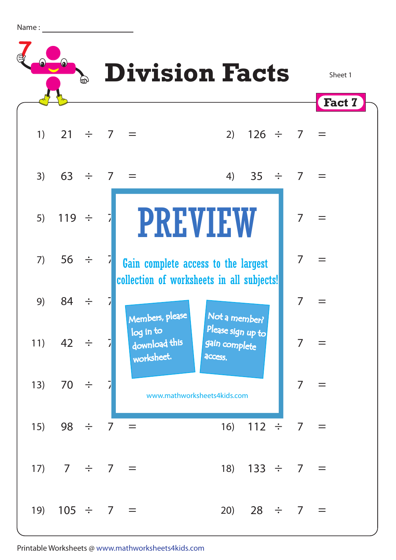